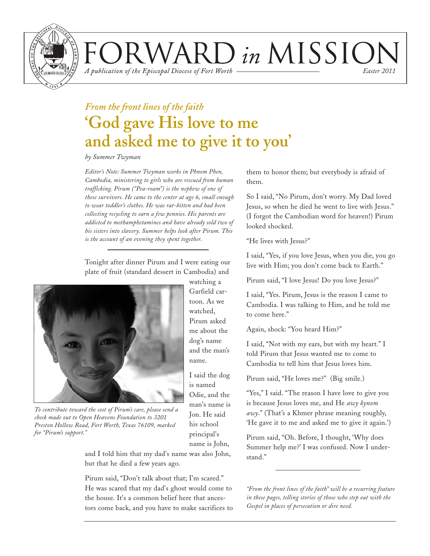

VARD in MISSION

A publication of the Episcopal Diocese of Fort Worth

*Easter 2011*

# *From the front lines of the faith* **'God gave His love to me and asked me to give it to you'**

*by Summer Twyman*

*Editor's Note: Summer Twyman works in Phnom Phen, Cambodia, ministering to girls who are rescued from human trafficking. Pirum ("Pea-roam") is the nephew of one of these survivors. He came to the center at age 6, small enough to wear toddler's clothes. He was rat-bitten and had been collecting recycling to earn a few pennies. His parents are addicted to methamphetamines and have already sold two of his sisters into slavery. Summer helps look after Pirum. This is the account of an evening they spent together.*

Tonight after dinner Pirum and I were eating our plate of fruit (standard dessert in Cambodia) and



*To contribute toward the cost of Pirum's care, please send a check made out to Open Heavens Foundation to 3201 Preston Hollow Road, Fort Worth, Texas 76109, marked for "Pirum's support."*

and I told him that my dad's name was also John, but that he died a few years ago.

Pirum said, "Don't talk about that; I'm scared." He was scared that my dad's ghost would come to the house. It's a common belief here that ancestors come back, and you have to make sacrifices to them to honor them; but everybody is afraid of them.

So I said, "No Pirum, don't worry. My Dad loved Jesus, so when he died he went to live with Jesus." (I forgot the Cambodian word for heaven!) Pirum looked shocked.

"He lives with Jesus?"

I said, "Yes, if you love Jesus, when you die, you go live with Him; you don't come back to Earth."

Pirum said, "I love Jesus! Do you love Jesus?"

I said, "Yes. Pirum, Jesus is the reason I came to Cambodia. I was talking to Him, and he told me to come here."

Again, shock: "You heard Him?"

I said, "Not with my ears, but with my heart." I told Pirum that Jesus wanted me to come to Cambodia to tell him that Jesus loves him.

Pirum said, "He loves me?" (Big smile.)

"Yes," I said. "The reason I have love to give you is because Jesus loves me, and He *awy kynom awy*." (That's a Khmer phrase meaning roughly, 'He gave it to me and asked me to give it again.')

Pirum said, "Oh. Before, I thought, 'Why does Summer help me?' I was confused. Now I understand."

*"From the front lines of the faith" will be a recurring feature in these pages, telling stories of those who step out with the Gospel in places of persecution or dire need.*

watching a Garfield cartoon. As we watched, Pirum asked me about the dog's name and the man's name.

I said the dog is named Odie, and the man's name is Jon. He said his school principal's name is John,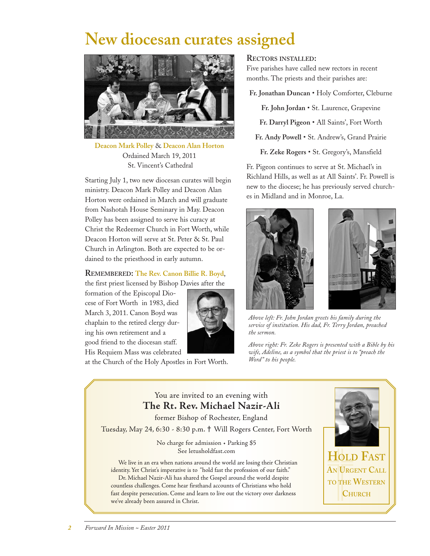# **New diocesan curates assigned**



**Deacon Mark Polley** & **Deacon Alan Horton** Ordained March 19, 2011 St. Vincent's Cathedral

Starting July 1, two new diocesan curates will begin ministry. Deacon Mark Polley and Deacon Alan Horton were ordained in March and will graduate from Nashotah House Seminary in May. Deacon Polley has been assigned to serve his curacy at Christ the Redeemer Church in Fort Worth, while Deacon Horton will serve at St. Peter & St. Paul Church in Arlington. Both are expected to be ordained to the priesthood in early autumn.

#### **REMEMBERED: The Rev. Canon Billie R. Boyd**,

the first priest licensed by Bishop Davies after the

formation of the Episcopal Diocese of Fort Worth in 1983, died March 3, 2011. Canon Boyd was chaplain to the retired clergy during his own retirement and a good friend to the diocesan staff. His Requiem Mass was celebrated



at the Church of the Holy Apostles in Fort Worth.

#### **RECTORS INSTALLED:**

Five parishes have called new rectors in recent months. The priests and their parishes are:

**Fr. Jonathan Duncan** • Holy Comforter, Cleburne

**Fr. John Jordan** • St. Laurence, Grapevine

**Fr. Darryl Pigeon** • All Saints', Fort Worth

**Fr. Andy Powell** • St. Andrew's, Grand Prairie

**Fr. Zeke Rogers** • St. Gregory's, Mansfield

Fr. Pigeon continues to serve at St. Michael's in Richland Hills, as well as at All Saints'. Fr. Powell is new to the diocese; he has previously served churches in Midland and in Monroe, La.





*Above left: Fr. John Jordan greets his family during the service of institution. His dad, Fr. Terry Jordan, preached the sermon.*

*Above right: Fr. Zeke Rogers is presented with a Bible by his wife, Adeline, as a symbol that the priest is to "preach the Word" to his people.*

#### You are invited to an evening with **The Rt. Rev. Michael Nazir-Ali** former Bishop of Rochester, England Tuesday, May 24, 6:30 - 8:30 p.m. **†** Will Rogers Center, Fort Worth No charge for admission • Parking \$5 See letusholdfast.com We live in an era when nations around the world are losing their Christian identity. Yet Christ's imperative is to "hold fast the profession of our faith." Dr. Michael Nazir-Ali has shared the Gospel around the world despite countless challenges. Come hear firsthand accounts of Christians who hold fast despite persecution. Come and learn to live out the victory over darkness we've already been assured in Christ. **HOLD FAST AN URGENT CALL TO THE WESTERN CHURCH**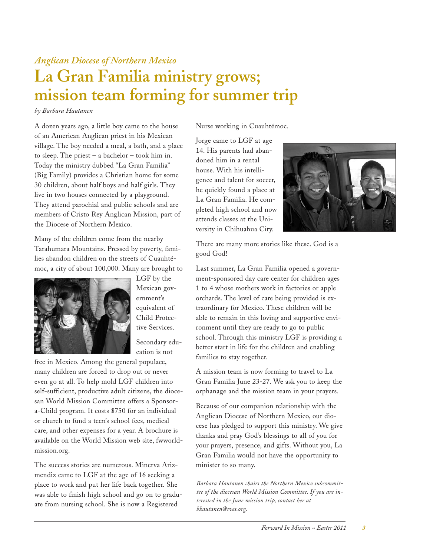## *Anglican Diocese of Northern Mexico* **La Gran Familia ministry grows; mission team forming for summer trip**

#### *by Barbara Hautanen*

A dozen years ago, a little boy came to the house of an American Anglican priest in his Mexican village. The boy needed a meal, a bath, and a place to sleep. The priest – a bachelor – took him in. Today the ministry dubbed "La Gran Familia" (Big Family) provides a Christian home for some 30 children, about half boys and half girls. They live in two houses connected by a playground. They attend parochial and public schools and are members of Cristo Rey Anglican Mission, part of the Diocese of Northern Mexico.

Many of the children come from the nearby Tarahumara Mountains. Pressed by poverty, families abandon children on the streets of Cuauhtémoc, a city of about 100,000. Many are brought to



LGF by the Mexican government's equivalent of Child Protective Services.

Secondary education is not

free in Mexico. Among the general populace, many children are forced to drop out or never even go at all. To help mold LGF children into self-sufficient, productive adult citizens, the diocesan World Mission Committee offers a Sponsora-Child program. It costs \$750 for an individual or church to fund a teen's school fees, medical care, and other expenses for a year. A brochure is available on the World Mission web site, fwworldmission.org.

The success stories are numerous. Minerva Arizmendiz came to LGF at the age of 16 seeking a place to work and put her life back together. She was able to finish high school and go on to graduate from nursing school. She is now a Registered

Nurse working in Cuauhtémoc.

Jorge came to LGF at age 14. His parents had abandoned him in a rental house. With his intelligence and talent for soccer, he quickly found a place at La Gran Familia. He completed high school and now attends classes at the University in Chihuahua City.



There are many more stories like these. God is a good God!

Last summer, La Gran Familia opened a government-sponsored day care center for children ages 1 to 4 whose mothers work in factories or apple orchards. The level of care being provided is extraordinary for Mexico. These children will be able to remain in this loving and supportive environment until they are ready to go to public school. Through this ministry LGF is providing a better start in life for the children and enabling families to stay together.

A mission team is now forming to travel to La Gran Familia June 23-27. We ask you to keep the orphanage and the mission team in your prayers.

Because of our companion relationship with the Anglican Diocese of Northern Mexico, our diocese has pledged to support this ministry. We give thanks and pray God's blessings to all of you for your prayers, presence, and gifts. Without you, La Gran Familia would not have the opportunity to minister to so many.

*Barbara Hautanen chairs the Northern Mexico subcommittee of the diocesan World Mission Committee. If you are interested in the June mission trip, contact her at bhautanen@sves.org.*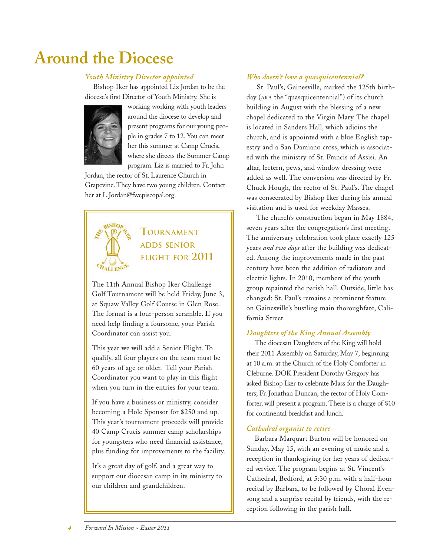# **Around the Diocese**

#### *Youth Ministry Director appointed*

Bishop Iker has appointed Liz Jordan to be the diocese's first Director of Youth Ministry. She is



working working with youth leaders around the diocese to develop and present programs for our young people in grades 7 to 12. You can meet her this summer at Camp Crucis, where she directs the Summer Camp program. Liz is married to Fr. John

Jordan, the rector of St. Laurence Church in Grapevine. They have two young children. Contact her at L.Jordan@fwepiscopal.org.



### **TOURNAMENT ADDS SENIOR FLIGHT FOR 2011**

The 11th Annual Bishop Iker Challenge Golf Tournament will be held Friday, June 3, at Squaw Valley Golf Course in Glen Rose. The format is a four-person scramble. If you need help finding a foursome, your Parish Coordinator can assist you.

This year we will add a Senior Flight. To qualify, all four players on the team must be 60 years of age or older. Tell your Parish Coordinator you want to play in this flight when you turn in the entries for your team.

If you have a business or ministry, consider becoming a Hole Sponsor for \$250 and up. This year's tournament proceeds will provide 40 Camp Crucis summer camp scholarships for youngsters who need financial assistance, plus funding for improvements to the facility.

It's a great day of golf, and a great way to support our diocesan camp in its ministry to our children and grandchildren.

#### *Who doesn't love a quasquicentennial?*

St. Paul's, Gainesville, marked the 125th birthday (AKA the "quasquicentennial") of its church building in August with the blessing of a new chapel dedicated to the Virgin Mary. The chapel is located in Sanders Hall, which adjoins the church, and is appointed with a blue English tapestry and a San Damiano cross, which is associated with the ministry of St. Francis of Assisi. An altar, lectern, pews, and window dressing were added as well. The conversion was directed by Fr. Chuck Hough, the rector of St. Paul's. The chapel was consecrated by Bishop Iker during his annual visitation and is used for weekday Masses.

The church's construction began in May 1884, seven years after the congregation's first meeting. The anniversary celebration took place exactly 125 years *and two days* after the building was dedicated. Among the improvements made in the past century have been the addition of radiators and electric lights. In 2010, members of the youth group repainted the parish hall. Outside, little has changed: St. Paul's remains a prominent feature on Gainesville's bustling main thoroughfare, California Street.

#### *Daughters of the King Annual Assembly*

The diocesan Daughters of the King will hold their 2011 Assembly on Saturday, May 7, beginning at 10 a.m. at the Church of the Holy Comforter in Cleburne. DOK President Dorothy Gregory has asked Bishop Iker to celebrate Mass for the Daughters; Fr. Jonathan Duncan, the rector of Holy Comforter, will present a program. There is a charge of \$10 for continental breakfast and lunch.

#### *Cathedral organist to retire*

Barbara Marquart Burton will be honored on Sunday, May 15, with an evening of music and a reception in thanksgiving for her years of dedicated service. The program begins at St. Vincent's Cathedral, Bedford, at 5:30 p.m. with a half-hour recital by Barbara, to be followed by Choral Evensong and a surprise recital by friends, with the reception following in the parish hall.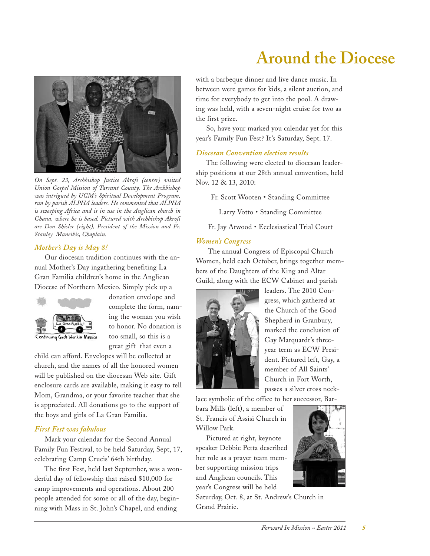

*On Sept. 23, Archbishop Justice Akrofi (center) visited Union Gospel Mission of Tarrant County. The Archbishop was intrigued by UGM's Spiritual Development Program, run by parish ALPHA leaders. He commented that ALPHA is sweeping Africa and is in use in the Anglican church in Ghana, where he is based. Pictured with Archbishop Akrofi are Don Shisler (right), President of the Mission and Fr. Stanley Maneikis, Chaplain.*

#### *Mother's Day is May 8!*

Our diocesan tradition continues with the annual Mother's Day ingathering benefiting La Gran Familia children's home in the Anglican Diocese of Northern Mexico. Simply pick up a



donation envelope and complete the form, naming the woman you wish to honor. No donation is too small, so this is a great gift that even a

child can afford. Envelopes will be collected at church, and the names of all the honored women will be published on the diocesan Web site. Gift enclosure cards are available, making it easy to tell Mom, Grandma, or your favorite teacher that she is appreciated. All donations go to the support of the boys and girls of La Gran Familia.

#### *First Fest was fabulous*

Mark your calendar for the Second Annual Family Fun Festival, to be held Saturday, Sept, 17, celebrating Camp Crucis' 64th birthday.

The first Fest, held last September, was a wonderful day of fellowship that raised \$10,000 for camp improvements and operations. About 200 people attended for some or all of the day, beginning with Mass in St. John's Chapel, and ending

with a barbeque dinner and live dance music. In between were games for kids, a silent auction, and time for everybody to get into the pool. A drawing was held, with a seven-night cruise for two as the first prize.

**Around the Diocese**

So, have your marked you calendar yet for this year's Family Fun Fest? It's Saturday, Sept. 17.

#### *Diocesan Convention election results*

The following were elected to diocesan leadership positions at our 28th annual convention, held Nov. 12 & 13, 2010:

Fr. Scott Wooten • Standing Committee

Larry Votto • Standing Committee

Fr. Jay Atwood • Ecclesiastical Trial Court

#### *Women's Congress*

The annual Congress of Episcopal Church Women, held each October, brings together members of the Daughters of the King and Altar Guild, along with the ECW Cabinet and parish



leaders. The 2010 Congress, which gathered at the Church of the Good Shepherd in Granbury, marked the conclusion of Gay Marquardt's threeyear term as ECW President. Pictured left, Gay, a member of All Saints' Church in Fort Worth, passes a silver cross neck-

lace symbolic of the office to her successor, Bar-

bara Mills (left), a member of St. Francis of Assisi Church in Willow Park.

Pictured at right, keynote speaker Debbie Petta described her role as a prayer team member supporting mission trips and Anglican councils. This year's Congress will be held



Saturday, Oct. 8, at St. Andrew's Church in Grand Prairie.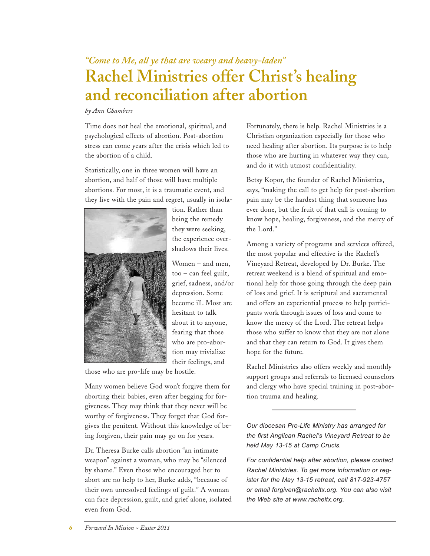## *"Come to Me, all ye that are weary and heavy-laden"* **Rachel Ministries offer Christ's healing and reconciliation after abortion**

#### *by Ann Chambers*

Time does not heal the emotional, spiritual, and psychological effects of abortion. Post-abortion stress can come years after the crisis which led to the abortion of a child.

Statistically, one in three women will have an abortion, and half of those will have multiple abortions. For most, it is a traumatic event, and they live with the pain and regret, usually in isola-



tion. Rather than being the remedy they were seeking, the experience overshadows their lives.

Women – and men, too – can feel guilt, grief, sadness, and/or depression. Some become ill. Most are hesitant to talk about it to anyone, fearing that those who are pro-abortion may trivialize their feelings, and

those who are pro-life may be hostile.

Many women believe God won't forgive them for aborting their babies, even after begging for forgiveness. They may think that they never will be worthy of forgiveness. They forget that God forgives the penitent. Without this knowledge of being forgiven, their pain may go on for years.

Dr. Theresa Burke calls abortion "an intimate weapon" against a woman, who may be "silenced by shame." Even those who encouraged her to abort are no help to her, Burke adds, "because of their own unresolved feelings of guilt." A woman can face depression, guilt, and grief alone, isolated even from God.

Fortunately, there is help. Rachel Ministries is a Christian organization especially for those who need healing after abortion. Its purpose is to help those who are hurting in whatever way they can, and do it with utmost confidentiality.

Betsy Kopor, the founder of Rachel Ministries, says, "making the call to get help for post-abortion pain may be the hardest thing that someone has ever done, but the fruit of that call is coming to know hope, healing, forgiveness, and the mercy of the Lord."

Among a variety of programs and services offered, the most popular and effective is the Rachel's Vineyard Retreat, developed by Dr. Burke. The retreat weekend is a blend of spiritual and emotional help for those going through the deep pain of loss and grief. It is scriptural and sacramental and offers an experiential process to help participants work through issues of loss and come to know the mercy of the Lord. The retreat helps those who suffer to know that they are not alone and that they can return to God. It gives them hope for the future.

Rachel Ministries also offers weekly and monthly support groups and referrals to licensed counselors and clergy who have special training in post-abortion trauma and healing.

*Our diocesan Pro-Life Ministry has arranged for the first Anglican Rachel's Vineyard Retreat to be held May 13-15 at Camp Crucis.* 

*For confidential help after abortion, please contact Rachel Ministries. To get more information or register for the May 13-15 retreat, call 817-923-4757 or email forgiven@racheltx.org. You can also visit the Web site at www.racheltx.org.*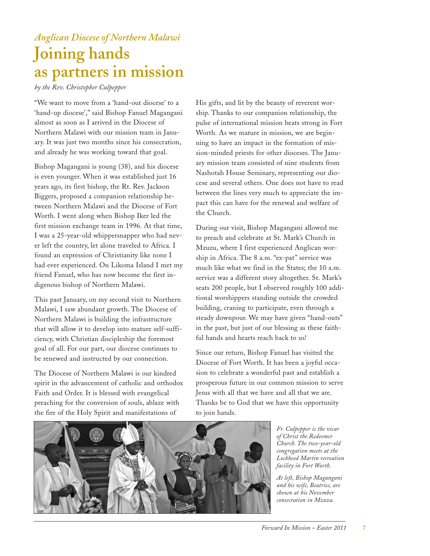### *Anglican Diocese of Northern Malawi* **Joining hands as partners in mission**

*by the Rev. Christopher Culpepper*

"We want to move from a 'hand-out diocese' to a 'hand-up diocese'," said Bishop Fanuel Magangani almost as soon as I arrived in the Diocese of Northern Malawi with our mission team in January. It was just two months since his consecration, and already he was working toward that goal.

Bishop Magangani is young (38), and his diocese is even younger. When it was established just 16 years ago, its first bishop, the Rt. Rev. Jackson Biggers, proposed a companion relationship between Northern Malawi and the Diocese of Fort Worth. I went along when Bishop Iker led the first mission exchange team in 1996. At that time, I was a 25-year-old whippersnapper who had never left the country, let alone traveled to Africa. I found an expression of Christianity like none I had ever experienced. On Likoma Island I met my friend Fanuel, who has now become the first indigenous bishop of Northern Malawi.

This past January, on my second visit to Northern Malawi, I saw abundant growth. The Diocese of Northern Malawi is building the infrastructure that will allow it to develop into mature self-sufficiency, with Christian discipleship the foremost goal of all. For our part, our diocese continues to be renewed and instructed by our connection.

The Diocese of Northern Malawi is our kindred spirit in the advancement of catholic and orthodox Faith and Order. It is blessed with evangelical preaching for the conversion of souls, ablaze with the fire of the Holy Spirit and manifestations of

His gifts, and lit by the beauty of reverent worship. Thanks to our companion relationship, the pulse of international mission beats strong in Fort Worth. As we mature in mission, we are beginning to have an impact in the formation of mission-minded priests for other dioceses. The January mission team consisted of nine students from Nashotah House Seminary, representing our diocese and several others. One does not have to read between the lines very much to appreciate the impact this can have for the renewal and welfare of the Church.

During our visit, Bishop Magangani allowed me to preach and celebrate at St. Mark's Church in Mzuzu, where I first experienced Anglican worship in Africa. The 8 a.m. "ex-pat" service was much like what we find in the States; the 10 a.m. service was a different story altogether. St. Mark's seats 200 people, but I observed roughly 100 additional worshippers standing outside the crowded building, craning to participate, even through a steady downpour. We may have given "hand-outs" in the past, but just of our blessing as these faithful hands and hearts reach back to us!

Since our return, Bishop Fanuel has visited the Diocese of Fort Worth. It has been a joyful occasion to celebrate a wonderful past and establish a prosperous future in our common mission to serve Jesus with all that we have and all that we are. Thanks be to God that we have this opportunity to join hands.



*Fr. Culpepper is the vicar of Christ the Redeemer Church. The two-year-old congregation meets at the Lockheed Martin recreation facility in Fort Worth.*

*At left, Bishop Magangani and his wife, Beatrice, are shown at his November consecration in Mzuzu.*